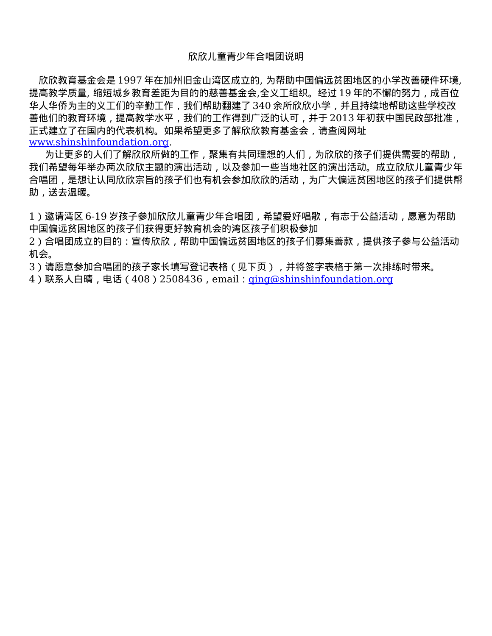## 欣欣儿童青少年合唱团说明

欣欣教育基金会是 1997 年在加州旧金山湾区成立的, 为帮助中国偏远贫困地区的小学改善硬件环境, 提高教学质量, 缩短城乡教育差距为目的的慈善基金会,全义工组织。经过 19 年的不懈的努力, 成百位 华人华侨为主的义工们的辛勤工作,我们帮助翻建了 340 余所欣欣小学,并且持续地帮助这些学校改 善他们的教育环境,提高教学水平,我们的工作得到广泛的认可,并于 2013 年初获中国民政部批准, 正式建立了在国内的代表机构。如果希望更多了解欣欣教育基金会,请查阅网址 [www.shinshinfoundation.org.](http://www.shinshinfoundation.org/)

 为让更多的人们了解欣欣所做的工作,聚集有共同理想的人们,为欣欣的孩子们提供需要的帮助, 我们希望每年举办两次欣欣主题的演出活动,以及参加一些当地社区的演出活动。成立欣欣儿童青少年 合唱团,是想让认同欣欣宗旨的孩子们也有机会参加欣欣的活动,为广大偏远贫困地区的孩子们提供帮 助,送去温暖。

1)邀请湾区 6-19 岁孩子参加欣欣儿童青少年合唱团,希望爱好唱歌,有志于公益活动,愿意为帮助 中国偏远贫困地区的孩子们获得更好教育机会的湾区孩子们积极参加

2)合唱团成立的目的:宣传欣欣,帮助中国偏远贫困地区的孩子们募集善款,提供孩子参与公益活动 机会。

3)请愿意参加合唱团的孩子家长填写登记表格(见下页),并将签字表格于第一次排练时带来。

4)联系人白晴,电话(408)2508436,email:ging@shinshinfoundation.org